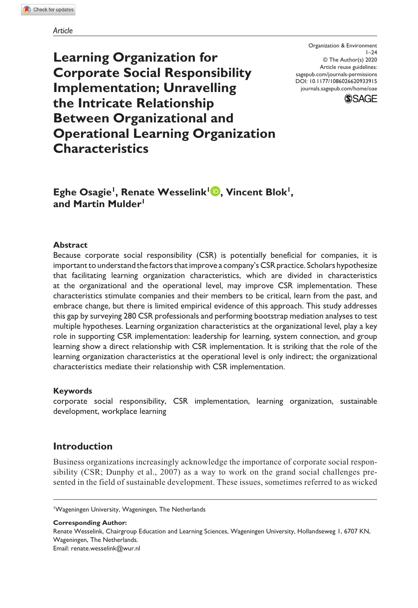**Learning Organization for Corporate Social Responsibility Implementation; Unravelling the Intricate Relationship Between Organizational and Operational Learning Organization Characteristics**

DOI: 10.1177/1086026620933915 Organization & Environment  $1 - 24$ © The Author(s) 2020 Article reuse guidelines: [sagepub.com/journals-permissions](https://us.sagepub.com/en-us/journals-permissions) [journals.sagepub.com/home/oae](https://journals.sagepub.com/home/oae
)



**Eghe Osagie<sup>1</sup>, Renate Wesselink<sup>1</sup><sup>D</sup>, Vincent Blok<sup>1</sup>, and Martin Mulder1**

#### **Abstract**

Because corporate social responsibility (CSR) is potentially beneficial for companies, it is important to understand the factors that improve a company's CSR practice. Scholars hypothesize that facilitating learning organization characteristics, which are divided in characteristics at the organizational and the operational level, may improve CSR implementation. These characteristics stimulate companies and their members to be critical, learn from the past, and embrace change, but there is limited empirical evidence of this approach. This study addresses this gap by surveying 280 CSR professionals and performing bootstrap mediation analyses to test multiple hypotheses. Learning organization characteristics at the organizational level, play a key role in supporting CSR implementation: leadership for learning, system connection, and group learning show a direct relationship with CSR implementation. It is striking that the role of the learning organization characteristics at the operational level is only indirect; the organizational characteristics mediate their relationship with CSR implementation.

#### **Keywords**

corporate social responsibility, CSR implementation, learning organization, sustainable development, workplace learning

## **Introduction**

Business organizations increasingly acknowledge the importance of corporate social responsibility (CSR; Dunphy et al., 2007) as a way to work on the grand social challenges presented in the field of sustainable development. These issues, sometimes referred to as wicked

**Corresponding Author:**

Renate Wesselink, Chairgroup Education and Learning Sciences, Wageningen University, Hollandseweg 1, 6707 KN, Wageningen, The Netherlands. Email: [renate.wesselink@wur.nl](mailto:renate.wesselink@wur.nl)

<sup>&</sup>lt;sup>1</sup>Wageningen University, Wageningen, The Netherlands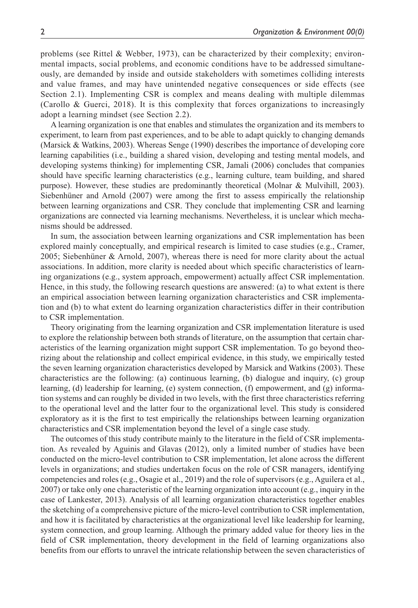problems (see Rittel & Webber, 1973), can be characterized by their complexity; environmental impacts, social problems, and economic conditions have to be addressed simultaneously, are demanded by inside and outside stakeholders with sometimes colliding interests and value frames, and may have unintended negative consequences or side effects (see Section 2.1). Implementing CSR is complex and means dealing with multiple dilemmas (Carollo  $\&$  Guerci, 2018). It is this complexity that forces organizations to increasingly adopt a learning mindset (see Section 2.2).

A learning organization is one that enables and stimulates the organization and its members to experiment, to learn from past experiences, and to be able to adapt quickly to changing demands (Marsick & Watkins, 2003). Whereas Senge (1990) describes the importance of developing core learning capabilities (i.e., building a shared vision, developing and testing mental models, and developing systems thinking) for implementing CSR, Jamali (2006) concludes that companies should have specific learning characteristics (e.g., learning culture, team building, and shared purpose). However, these studies are predominantly theoretical (Molnar & Mulvihill, 2003). Siebenhüner and Arnold (2007) were among the first to assess empirically the relationship between learning organizations and CSR. They conclude that implementing CSR and learning organizations are connected via learning mechanisms. Nevertheless, it is unclear which mechanisms should be addressed.

In sum, the association between learning organizations and CSR implementation has been explored mainly conceptually, and empirical research is limited to case studies (e.g., Cramer, 2005; Siebenhüner & Arnold, 2007), whereas there is need for more clarity about the actual associations. In addition, more clarity is needed about which specific characteristics of learning organizations (e.g., system approach, empowerment) actually affect CSR implementation. Hence, in this study, the following research questions are answered: (a) to what extent is there an empirical association between learning organization characteristics and CSR implementation and (b) to what extent do learning organization characteristics differ in their contribution to CSR implementation.

Theory originating from the learning organization and CSR implementation literature is used to explore the relationship between both strands of literature, on the assumption that certain characteristics of the learning organization might support CSR implementation. To go beyond theorizing about the relationship and collect empirical evidence, in this study, we empirically tested the seven learning organization characteristics developed by Marsick and Watkins (2003). These characteristics are the following: (a) continuous learning, (b) dialogue and inquiry, (c) group learning, (d) leadership for learning, (e) system connection, (f) empowerment, and (g) information systems and can roughly be divided in two levels, with the first three characteristics referring to the operational level and the latter four to the organizational level. This study is considered exploratory as it is the first to test empirically the relationships between learning organization characteristics and CSR implementation beyond the level of a single case study.

The outcomes of this study contribute mainly to the literature in the field of CSR implementation. As revealed by Aguinis and Glavas (2012), only a limited number of studies have been conducted on the micro-level contribution to CSR implementation, let alone across the different levels in organizations; and studies undertaken focus on the role of CSR managers, identifying competencies and roles (e.g., Osagie et al., 2019) and the role of supervisors (e.g., Aguilera et al., 2007) or take only one characteristic of the learning organization into account (e.g., inquiry in the case of Lankester, 2013). Analysis of all learning organization characteristics together enables the sketching of a comprehensive picture of the micro-level contribution to CSR implementation, and how it is facilitated by characteristics at the organizational level like leadership for learning, system connection, and group learning. Although the primary added value for theory lies in the field of CSR implementation, theory development in the field of learning organizations also benefits from our efforts to unravel the intricate relationship between the seven characteristics of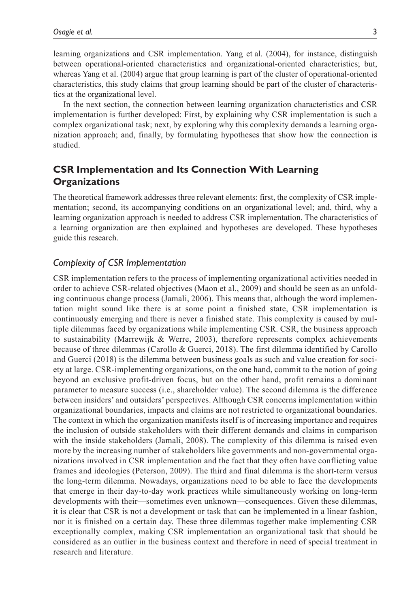learning organizations and CSR implementation. Yang et al. (2004), for instance, distinguish between operational-oriented characteristics and organizational-oriented characteristics; but, whereas Yang et al. (2004) argue that group learning is part of the cluster of operational-oriented characteristics, this study claims that group learning should be part of the cluster of characteristics at the organizational level.

In the next section, the connection between learning organization characteristics and CSR implementation is further developed: First, by explaining why CSR implementation is such a complex organizational task; next, by exploring why this complexity demands a learning organization approach; and, finally, by formulating hypotheses that show how the connection is studied.

# **CSR Implementation and Its Connection With Learning Organizations**

The theoretical framework addresses three relevant elements: first, the complexity of CSR implementation; second, its accompanying conditions on an organizational level; and, third, why a learning organization approach is needed to address CSR implementation. The characteristics of a learning organization are then explained and hypotheses are developed. These hypotheses guide this research.

## *Complexity of CSR Implementation*

CSR implementation refers to the process of implementing organizational activities needed in order to achieve CSR-related objectives (Maon et al., 2009) and should be seen as an unfolding continuous change process (Jamali, 2006). This means that, although the word implementation might sound like there is at some point a finished state, CSR implementation is continuously emerging and there is never a finished state. This complexity is caused by multiple dilemmas faced by organizations while implementing CSR. CSR, the business approach to sustainability (Marrewijk & Werre, 2003), therefore represents complex achievements because of three dilemmas (Carollo & Guerci, 2018). The first dilemma identified by Carollo and Guerci (2018) is the dilemma between business goals as such and value creation for society at large. CSR-implementing organizations, on the one hand, commit to the notion of going beyond an exclusive profit-driven focus, but on the other hand, profit remains a dominant parameter to measure success (i.e., shareholder value). The second dilemma is the difference between insiders' and outsiders' perspectives. Although CSR concerns implementation within organizational boundaries, impacts and claims are not restricted to organizational boundaries. The context in which the organization manifests itself is of increasing importance and requires the inclusion of outside stakeholders with their different demands and claims in comparison with the inside stakeholders (Jamali, 2008). The complexity of this dilemma is raised even more by the increasing number of stakeholders like governments and non-governmental organizations involved in CSR implementation and the fact that they often have conflicting value frames and ideologies (Peterson, 2009). The third and final dilemma is the short-term versus the long-term dilemma. Nowadays, organizations need to be able to face the developments that emerge in their day-to-day work practices while simultaneously working on long-term developments with their—sometimes even unknown—consequences. Given these dilemmas, it is clear that CSR is not a development or task that can be implemented in a linear fashion, nor it is finished on a certain day. These three dilemmas together make implementing CSR exceptionally complex, making CSR implementation an organizational task that should be considered as an outlier in the business context and therefore in need of special treatment in research and literature.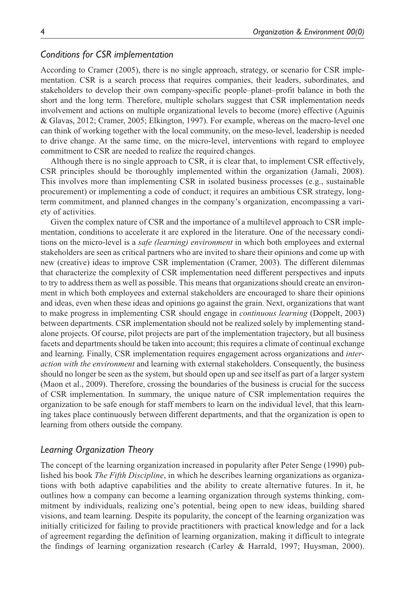## *Conditions for CSR implementation*

According to Cramer (2005), there is no single approach, strategy, or scenario for CSR implementation. CSR is a search process that requires companies, their leaders, subordinates, and stakeholders to develop their own company-specific people–planet–profit balance in both the short and the long term. Therefore, multiple scholars suggest that CSR implementation needs involvement and actions on multiple organizational levels to become (more) effective (Aguinis & Glavas, 2012; Cramer, 2005; Elkington, 1997). For example, whereas on the macro-level one can think of working together with the local community, on the meso-level, leadership is needed to drive change. At the same time, on the micro-level, interventions with regard to employee commitment to CSR are needed to realize the required changes.

Although there is no single approach to CSR, it is clear that, to implement CSR effectively, CSR principles should be thoroughly implemented within the organization (Jamali, 2008). This involves more than implementing CSR in isolated business processes (e.g., sustainable procurement) or implementing a code of conduct; it requires an ambitious CSR strategy, longterm commitment, and planned changes in the company's organization, encompassing a variety of activities.

Given the complex nature of CSR and the importance of a multilevel approach to CSR implementation, conditions to accelerate it are explored in the literature. One of the necessary conditions on the micro-level is a *safe (learning) environment* in which both employees and external stakeholders are seen as critical partners who are invited to share their opinions and come up with new (creative) ideas to improve CSR implementation (Cramer, 2003). The different dilemmas that characterize the complexity of CSR implementation need different perspectives and inputs to try to address them as well as possible. This means that organizations should create an environment in which both employees and external stakeholders are encouraged to share their opinions and ideas, even when these ideas and opinions go against the grain. Next, organizations that want to make progress in implementing CSR should engage in *continuous learning* (Doppelt, 2003) between departments. CSR implementation should not be realized solely by implementing standalone projects. Of course, pilot projects are part of the implementation trajectory, but all business facets and departments should be taken into account; this requires a climate of continual exchange and learning. Finally, CSR implementation requires engagement across organizations and *interaction with the environment* and learning with external stakeholders. Consequently, the business should no longer be seen as the system, but should open up and see itself as part of a larger system (Maon et al., 2009). Therefore, crossing the boundaries of the business is crucial for the success of CSR implementation. In summary, the unique nature of CSR implementation requires the organization to be safe enough for staff members to learn on the individual level, that this learning takes place continuously between different departments, and that the organization is open to learning from others outside the company.

## *Learning Organization Theory*

The concept of the learning organization increased in popularity after Peter Senge (1990) published his book *The Fifth Discipline*, in which he describes learning organizations as organizations with both adaptive capabilities and the ability to create alternative futures. In it, he outlines how a company can become a learning organization through systems thinking, commitment by individuals, realizing one's potential, being open to new ideas, building shared visions, and team learning. Despite its popularity, the concept of the learning organization was initially criticized for failing to provide practitioners with practical knowledge and for a lack of agreement regarding the definition of learning organization, making it difficult to integrate the findings of learning organization research (Carley & Harrald, 1997; Huysman, 2000).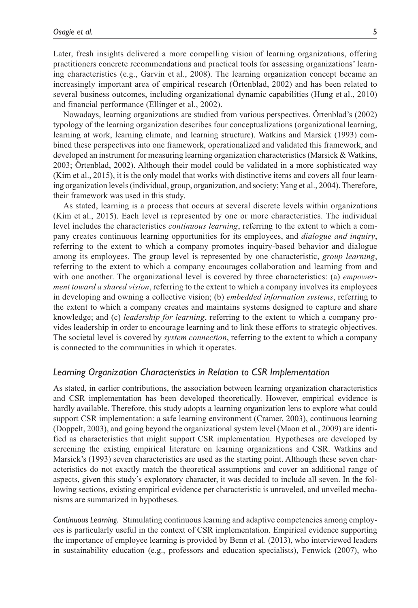Later, fresh insights delivered a more compelling vision of learning organizations, offering practitioners concrete recommendations and practical tools for assessing organizations' learning characteristics (e.g., Garvin et al., 2008). The learning organization concept became an increasingly important area of empirical research (Örtenblad, 2002) and has been related to several business outcomes, including organizational dynamic capabilities (Hung et al., 2010) and financial performance (Ellinger et al., 2002).

Nowadays, learning organizations are studied from various perspectives. Örtenblad's (2002) typology of the learning organization describes four conceptualizations (organizational learning, learning at work, learning climate, and learning structure). Watkins and Marsick (1993) combined these perspectives into one framework, operationalized and validated this framework, and developed an instrument for measuring learning organization characteristics (Marsick & Watkins, 2003; Örtenblad, 2002). Although their model could be validated in a more sophisticated way (Kim et al., 2015), it is the only model that works with distinctive items and covers all four learning organization levels (individual, group, organization, and society; Yang et al., 2004). Therefore, their framework was used in this study.

As stated, learning is a process that occurs at several discrete levels within organizations (Kim et al., 2015). Each level is represented by one or more characteristics. The individual level includes the characteristics *continuous learning*, referring to the extent to which a company creates continuous learning opportunities for its employees, and *dialogue and inquiry*, referring to the extent to which a company promotes inquiry-based behavior and dialogue among its employees. The group level is represented by one characteristic, *group learning*, referring to the extent to which a company encourages collaboration and learning from and with one another. The organizational level is covered by three characteristics: (a) *empowerment toward a shared vision*, referring to the extent to which a company involves its employees in developing and owning a collective vision; (b) *embedded information systems*, referring to the extent to which a company creates and maintains systems designed to capture and share knowledge; and (c) *leadership for learning*, referring to the extent to which a company provides leadership in order to encourage learning and to link these efforts to strategic objectives. The societal level is covered by *system connection*, referring to the extent to which a company is connected to the communities in which it operates.

### *Learning Organization Characteristics in Relation to CSR Implementation*

As stated, in earlier contributions, the association between learning organization characteristics and CSR implementation has been developed theoretically. However, empirical evidence is hardly available. Therefore, this study adopts a learning organization lens to explore what could support CSR implementation: a safe learning environment (Cramer, 2003), continuous learning (Doppelt, 2003), and going beyond the organizational system level (Maon et al., 2009) are identified as characteristics that might support CSR implementation. Hypotheses are developed by screening the existing empirical literature on learning organizations and CSR. Watkins and Marsick's (1993) seven characteristics are used as the starting point. Although these seven characteristics do not exactly match the theoretical assumptions and cover an additional range of aspects, given this study's exploratory character, it was decided to include all seven. In the following sections, existing empirical evidence per characteristic is unraveled, and unveiled mechanisms are summarized in hypotheses.

*Continuous Learning.* Stimulating continuous learning and adaptive competencies among employees is particularly useful in the context of CSR implementation. Empirical evidence supporting the importance of employee learning is provided by Benn et al. (2013), who interviewed leaders in sustainability education (e.g., professors and education specialists), Fenwick (2007), who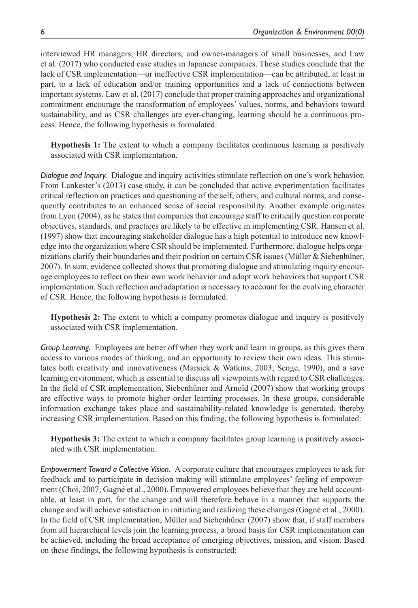interviewed HR managers, HR directors, and owner-managers of small businesses, and Law et al. (2017) who conducted case studies in Japanese companies. These studies conclude that the lack of CSR implementation—or ineffective CSR implementation—can be attributed, at least in part, to a lack of education and/or training opportunities and a lack of connections between important systems. Law et al. (2017) conclude that proper training approaches and organizational commitment encourage the transformation of employees' values, norms, and behaviors toward sustainability, and as CSR challenges are ever-changing, learning should be a continuous process. Hence, the following hypothesis is formulated:

**Hypothesis 1:** The extent to which a company facilitates continuous learning is positively associated with CSR implementation.

*Dialogue and Inquiry.* Dialogue and inquiry activities stimulate reflection on one's work behavior. From Lankester's (2013) case study, it can be concluded that active experimentation facilitates critical reflection on practices and questioning of the self, others, and cultural norms, and consequently contributes to an enhanced sense of social responsibility. Another example originates from Lyon (2004), as he states that companies that encourage staff to critically question corporate objectives, standards, and practices are likely to be effective in implementing CSR. Hansen et al. (1997) show that encouraging stakeholder dialogue has a high potential to introduce new knowledge into the organization where CSR should be implemented. Furthermore, dialogue helps organizations clarify their boundaries and their position on certain CSR issues (Müller & Siebenhüner, 2007). In sum, evidence collected shows that promoting dialogue and stimulating inquiry encourage employees to reflect on their own work behavior and adopt work behaviors that support CSR implementation. Such reflection and adaptation is necessary to account for the evolving character of CSR. Hence, the following hypothesis is formulated:

**Hypothesis 2:** The extent to which a company promotes dialogue and inquiry is positively associated with CSR implementation.

*Group Learning.* Employees are better off when they work and learn in groups, as this gives them access to various modes of thinking, and an opportunity to review their own ideas. This stimulates both creativity and innovativeness (Marsick & Watkins, 2003; Senge, 1990), and a save learning environment, which is essential to discuss all viewpoints with regard to CSR challenges. In the field of CSR implementation, Siebenhüner and Arnold (2007) show that working groups are effective ways to promote higher order learning processes. In these groups, considerable information exchange takes place and sustainability-related knowledge is generated, thereby increasing CSR implementation. Based on this finding, the following hypothesis is formulated:

**Hypothesis 3:** The extent to which a company facilitates group learning is positively associated with CSR implementation.

*Empowerment Toward a Collective Vision.* A corporate culture that encourages employees to ask for feedback and to participate in decision making will stimulate employees' feeling of empowerment (Choi, 2007; Gagné et al., 2000). Empowered employees believe that they are held accountable, at least in part, for the change and will therefore behave in a manner that supports the change and will achieve satisfaction in initiating and realizing these changes (Gagné et al., 2000). In the field of CSR implementation, Müller and Siebenhüner (2007) show that, if staff members from all hierarchical levels join the learning process, a broad basis for CSR implementation can be achieved, including the broad acceptance of emerging objectives, mission, and vision. Based on these findings, the following hypothesis is constructed: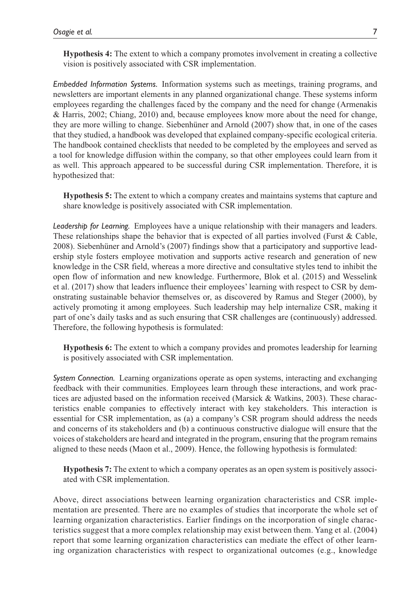**Hypothesis 4:** The extent to which a company promotes involvement in creating a collective vision is positively associated with CSR implementation.

*Embedded Information Systems.* Information systems such as meetings, training programs, and newsletters are important elements in any planned organizational change. These systems inform employees regarding the challenges faced by the company and the need for change (Armenakis & Harris, 2002; Chiang, 2010) and, because employees know more about the need for change, they are more willing to change. Siebenhüner and Arnold (2007) show that, in one of the cases that they studied, a handbook was developed that explained company-specific ecological criteria. The handbook contained checklists that needed to be completed by the employees and served as a tool for knowledge diffusion within the company, so that other employees could learn from it as well. This approach appeared to be successful during CSR implementation. Therefore, it is hypothesized that:

**Hypothesis 5:** The extent to which a company creates and maintains systems that capture and share knowledge is positively associated with CSR implementation.

*Leadership for Learning.* Employees have a unique relationship with their managers and leaders. These relationships shape the behavior that is expected of all parties involved (Furst & Cable, 2008). Siebenhüner and Arnold's (2007) findings show that a participatory and supportive leadership style fosters employee motivation and supports active research and generation of new knowledge in the CSR field, whereas a more directive and consultative styles tend to inhibit the open flow of information and new knowledge. Furthermore, Blok et al. (2015) and Wesselink et al. (2017) show that leaders influence their employees' learning with respect to CSR by demonstrating sustainable behavior themselves or, as discovered by Ramus and Steger (2000), by actively promoting it among employees. Such leadership may help internalize CSR, making it part of one's daily tasks and as such ensuring that CSR challenges are (continuously) addressed. Therefore, the following hypothesis is formulated:

**Hypothesis 6:** The extent to which a company provides and promotes leadership for learning is positively associated with CSR implementation.

*System Connection.* Learning organizations operate as open systems, interacting and exchanging feedback with their communities. Employees learn through these interactions, and work practices are adjusted based on the information received (Marsick & Watkins, 2003). These characteristics enable companies to effectively interact with key stakeholders. This interaction is essential for CSR implementation, as (a) a company's CSR program should address the needs and concerns of its stakeholders and (b) a continuous constructive dialogue will ensure that the voices of stakeholders are heard and integrated in the program, ensuring that the program remains aligned to these needs (Maon et al., 2009). Hence, the following hypothesis is formulated:

**Hypothesis 7:** The extent to which a company operates as an open system is positively associated with CSR implementation.

Above, direct associations between learning organization characteristics and CSR implementation are presented. There are no examples of studies that incorporate the whole set of learning organization characteristics. Earlier findings on the incorporation of single characteristics suggest that a more complex relationship may exist between them. Yang et al. (2004) report that some learning organization characteristics can mediate the effect of other learning organization characteristics with respect to organizational outcomes (e.g., knowledge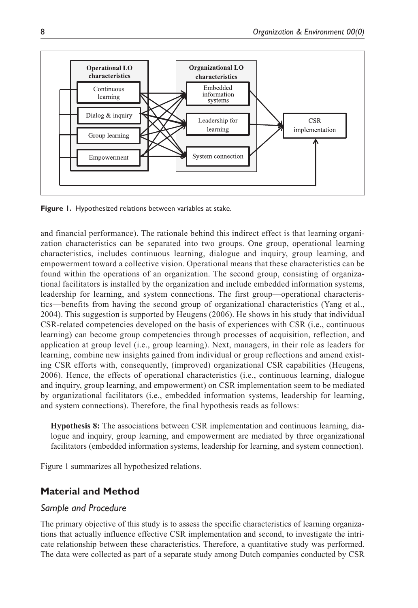

**Figure 1.** Hypothesized relations between variables at stake.

and financial performance). The rationale behind this indirect effect is that learning organization characteristics can be separated into two groups. One group, operational learning characteristics, includes continuous learning, dialogue and inquiry, group learning, and empowerment toward a collective vision. Operational means that these characteristics can be found within the operations of an organization. The second group, consisting of organizational facilitators is installed by the organization and include embedded information systems, leadership for learning, and system connections. The first group—operational characteristics—benefits from having the second group of organizational characteristics (Yang et al., 2004). This suggestion is supported by Heugens (2006). He shows in his study that individual CSR-related competencies developed on the basis of experiences with CSR (i.e., continuous learning) can become group competencies through processes of acquisition, reflection, and application at group level (i.e., group learning). Next, managers, in their role as leaders for learning, combine new insights gained from individual or group reflections and amend existing CSR efforts with, consequently, (improved) organizational CSR capabilities (Heugens, 2006). Hence, the effects of operational characteristics (i.e., continuous learning, dialogue and inquiry, group learning, and empowerment) on CSR implementation seem to be mediated by organizational facilitators (i.e., embedded information systems, leadership for learning, and system connections). Therefore, the final hypothesis reads as follows:

**Hypothesis 8:** The associations between CSR implementation and continuous learning, dialogue and inquiry, group learning, and empowerment are mediated by three organizational facilitators (embedded information systems, leadership for learning, and system connection).

Figure 1 summarizes all hypothesized relations.

# **Material and Method**

# *Sample and Procedure*

The primary objective of this study is to assess the specific characteristics of learning organizations that actually influence effective CSR implementation and second, to investigate the intricate relationship between these characteristics. Therefore, a quantitative study was performed. The data were collected as part of a separate study among Dutch companies conducted by CSR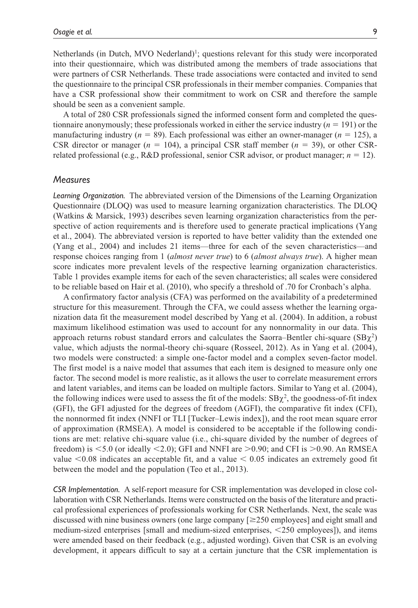Netherlands (in Dutch, MVO Nederland)<sup>1</sup>; questions relevant for this study were incorporated into their questionnaire, which was distributed among the members of trade associations that were partners of CSR Netherlands. These trade associations were contacted and invited to send the questionnaire to the principal CSR professionals in their member companies. Companies that have a CSR professional show their commitment to work on CSR and therefore the sample should be seen as a convenient sample.

A total of 280 CSR professionals signed the informed consent form and completed the questionnaire anonymously; these professionals worked in either the service industry (*n* = 191) or the manufacturing industry ( $n = 89$ ). Each professional was either an owner-manager ( $n = 125$ ), a CSR director or manager (*n* = 104), a principal CSR staff member (*n* = 39), or other CSRrelated professional (e.g., R&D professional, senior CSR advisor, or product manager; *n* = 12).

#### *Measures*

*Learning Organization.* The abbreviated version of the Dimensions of the Learning Organization Questionnaire (DLOQ) was used to measure learning organization characteristics. The DLOQ (Watkins & Marsick, 1993) describes seven learning organization characteristics from the perspective of action requirements and is therefore used to generate practical implications (Yang et al., 2004). The abbreviated version is reported to have better validity than the extended one (Yang et al., 2004) and includes 21 items—three for each of the seven characteristics—and response choices ranging from 1 (*almost never true*) to 6 (*almost always true*). A higher mean score indicates more prevalent levels of the respective learning organization characteristics. Table 1 provides example items for each of the seven characteristics; all scales were considered to be reliable based on Hair et al. (2010), who specify a threshold of .70 for Cronbach's alpha.

A confirmatory factor analysis (CFA) was performed on the availability of a predetermined structure for this measurement. Through the CFA, we could assess whether the learning organization data fit the measurement model described by Yang et al. (2004). In addition, a robust maximum likelihood estimation was used to account for any nonnormality in our data. This approach returns robust standard errors and calculates the Saorra–Bentler chi-square  $(SB\chi^2)$ value, which adjusts the normal-theory chi-square (Rosseel, 2012). As in Yang et al. (2004), two models were constructed: a simple one-factor model and a complex seven-factor model. The first model is a naive model that assumes that each item is designed to measure only one factor. The second model is more realistic, as it allows the user to correlate measurement errors and latent variables, and items can be loaded on multiple factors. Similar to Yang et al. (2004), the following indices were used to assess the fit of the models:  $SB\chi^2$ , the goodness-of-fit index (GFI), the GFI adjusted for the degrees of freedom (AGFI), the comparative fit index (CFI), the nonnormed fit index (NNFI or TLI [Tucker–Lewis index]), and the root mean square error of approximation (RMSEA). A model is considered to be acceptable if the following conditions are met: relative chi-square value (i.e., chi-square divided by the number of degrees of freedom) is  $\leq$ 5.0 (or ideally  $\leq$ 2.0); GFI and NNFI are  $\geq$ 0.90; and CFI is  $\geq$ 0.90. An RMSEA value  $\leq 0.08$  indicates an acceptable fit, and a value  $\leq 0.05$  indicates an extremely good fit between the model and the population (Teo et al., 2013).

*CSR Implementation.* A self-report measure for CSR implementation was developed in close collaboration with CSR Netherlands. Items were constructed on the basis of the literature and practical professional experiences of professionals working for CSR Netherlands. Next, the scale was discussed with nine business owners (one large company [≥250 employees] and eight small and medium-sized enterprises [small and medium-sized enterprises, <250 employees]), and items were amended based on their feedback (e.g., adjusted wording). Given that CSR is an evolving development, it appears difficult to say at a certain juncture that the CSR implementation is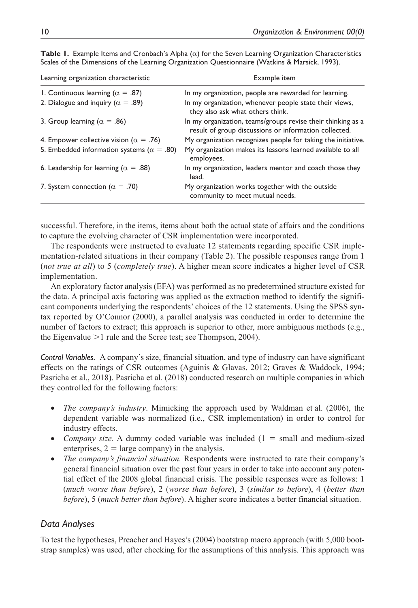| Learning organization characteristic               | Example item                                                                                                         |
|----------------------------------------------------|----------------------------------------------------------------------------------------------------------------------|
| 1. Continuous learning ( $\alpha = .87$ )          | In my organization, people are rewarded for learning.                                                                |
| 2. Dialogue and inquiry ( $\alpha = .89$ )         | In my organization, whenever people state their views,<br>they also ask what others think.                           |
| 3. Group learning ( $\alpha = .86$ )               | In my organization, teams/groups revise their thinking as a<br>result of group discussions or information collected. |
| 4. Empower collective vision ( $\alpha = .76$ )    | My organization recognizes people for taking the initiative.                                                         |
| 5. Embedded information systems ( $\alpha = .80$ ) | My organization makes its lessons learned available to all<br>employees.                                             |
| 6. Leadership for learning ( $\alpha = .88$ )      | In my organization, leaders mentor and coach those they<br>lead.                                                     |
| 7. System connection ( $\alpha = .70$ )            | My organization works together with the outside<br>community to meet mutual needs.                                   |

**Table 1.** Example Items and Cronbach's Alpha (α) for the Seven Learning Organization Characteristics Scales of the Dimensions of the Learning Organization Questionnaire (Watkins & Marsick, 1993).

successful. Therefore, in the items, items about both the actual state of affairs and the conditions to capture the evolving character of CSR implementation were incorporated.

The respondents were instructed to evaluate 12 statements regarding specific CSR implementation-related situations in their company (Table 2). The possible responses range from 1 (*not true at all*) to 5 (*completely true*). A higher mean score indicates a higher level of CSR implementation.

An exploratory factor analysis (EFA) was performed as no predetermined structure existed for the data. A principal axis factoring was applied as the extraction method to identify the significant components underlying the respondents' choices of the 12 statements. Using the SPSS syntax reported by O'Connor (2000), a parallel analysis was conducted in order to determine the number of factors to extract; this approach is superior to other, more ambiguous methods (e.g., the Eigenvalue >1 rule and the Scree test; see Thompson, 2004).

*Control Variables.* A company's size, financial situation, and type of industry can have significant effects on the ratings of CSR outcomes (Aguinis & Glavas, 2012; Graves & Waddock, 1994; Pasricha et al., 2018). Pasricha et al. (2018) conducted research on multiple companies in which they controlled for the following factors:

- *The company's industry*. Mimicking the approach used by Waldman et al. (2006), the dependent variable was normalized (i.e., CSR implementation) in order to control for industry effects.
- *Company size.* A dummy coded variable was included  $(1 = small and medium-sized)$ enterprises,  $2 = \text{large company}$  in the analysis.
- *The company's financial situation.* Respondents were instructed to rate their company's general financial situation over the past four years in order to take into account any potential effect of the 2008 global financial crisis. The possible responses were as follows: 1 (*much worse than before*), 2 (*worse than before*), 3 (*similar to before*), 4 (*better than before*), 5 (*much better than before*). A higher score indicates a better financial situation.

# *Data Analyses*

To test the hypotheses, Preacher and Hayes's (2004) bootstrap macro approach (with 5,000 bootstrap samples) was used, after checking for the assumptions of this analysis. This approach was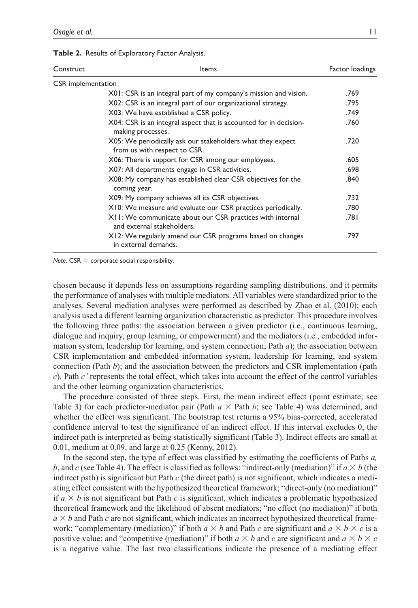| Table 2. Results of Exploratory Factor Analysis. |  |  |  |  |  |
|--------------------------------------------------|--|--|--|--|--|
|--------------------------------------------------|--|--|--|--|--|

| Construct          | Items                                                                                      | Factor loadings |
|--------------------|--------------------------------------------------------------------------------------------|-----------------|
| CSR implementation |                                                                                            |                 |
|                    | X01: CSR is an integral part of my company's mission and vision.                           | .769            |
|                    | X02: CSR is an integral part of our organizational strategy.                               | .795            |
|                    | X03: We have established a CSR policy.                                                     | .749            |
|                    | X04: CSR is an integral aspect that is accounted for in decision-<br>making processes.     | .760            |
|                    | X05: We periodically ask our stakeholders what they expect<br>from us with respect to CSR. | .720            |
|                    | X06: There is support for CSR among our employees.                                         | .605            |
|                    | X07: All departments engage in CSR activities.                                             | .698            |
|                    | X08: My company has established clear CSR objectives for the<br>coming year.               | .840            |
|                    | X09: My company achieves all its CSR objectives.                                           | .732            |
|                    | X10: We measure and evaluate our CSR practices periodically.                               | .780            |
|                    | XII: We communicate about our CSR practices with internal<br>and external stakeholders.    | .781            |
|                    | X12: We regularly amend our CSR programs based on changes<br>in external demands.          | .797            |

*Note*. CSR = corporate social responsibility.

chosen because it depends less on assumptions regarding sampling distributions, and it permits the performance of analyses with multiple mediators. All variables were standardized prior to the analyses. Several mediation analyses were performed as described by Zhao et al. (2010); each analysis used a different learning organization characteristic as predictor. This procedure involves the following three paths: the association between a given predictor (i.e., continuous learning, dialogue and inquiry, group learning, or empowerment) and the mediators (i.e., embedded information system, leadership for learning, and system connection; Path *a*); the association between CSR implementation and embedded information system, leadership for learning, and system connection (Path *b*); and the association between the predictors and CSR implementation (path *c*). Path *c'* represents the total effect, which takes into account the effect of the control variables and the other learning organization characteristics.

The procedure consisted of three steps. First, the mean indirect effect (point estimate; see Table 3) for each predictor-mediator pair (Path  $a \times$  Path  $b$ ; see Table 4) was determined, and whether the effect was significant. The bootstrap test returns a 95% bias-corrected, accelerated confidence interval to test the significance of an indirect effect. If this interval excludes 0, the indirect path is interpreted as being statistically significant (Table 3). Indirect effects are small at 0.01, medium at 0.09, and large at 0.25 (Kenny, 2012).

In the second step, the type of effect was classified by estimating the coefficients of Paths *a, b*, and *c* (see Table 4). The effect is classified as follows: "indirect-only (mediation)" if  $a \times b$  (the indirect path) is significant but Path *c* (the direct path) is not significant, which indicates a mediating effect consistent with the hypothesized theoretical framework; "direct-only (no mediation)" if  $a \times b$  is not significant but Path *c* is significant, which indicates a problematic hypothesized theoretical framework and the likelihood of absent mediators; "no effect (no mediation)" if both  $a \times b$  and Path *c* are not significant, which indicates an incorrect hypothesized theoretical framework; "complementary (mediation)" if both  $a \times b$  and Path *c* are significant and  $a \times b \times c$  is a positive value; and "competitive (mediation)" if both  $a \times b$  and  $c$  are significant and  $a \times b \times c$ is a negative value. The last two classifications indicate the presence of a mediating effect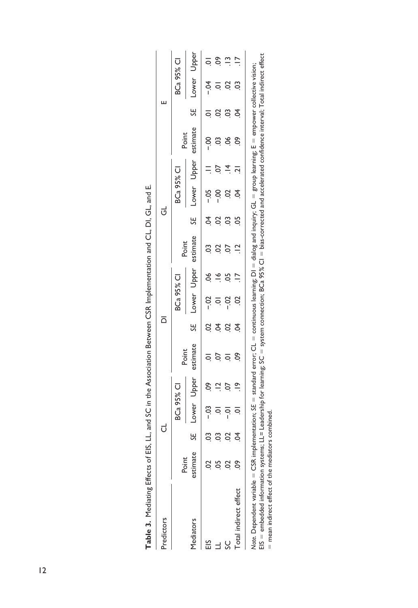|                                                                                                                                                                            |          |   |            |                |          |                     |                    |             | יִד מַנְצְבָל (יִבְרָ הַיִּהְיִבְה הַיִּהְיִבְר הַיִּהְיִבְר הַיִּה הַיִּה הַיִּה הַיִּה הַיִּה הַיִּה הַיִּה ה |                |                   |                |          |                |            |               |
|----------------------------------------------------------------------------------------------------------------------------------------------------------------------------|----------|---|------------|----------------|----------|---------------------|--------------------|-------------|-----------------------------------------------------------------------------------------------------------------|----------------|-------------------|----------------|----------|----------------|------------|---------------|
| Predictors                                                                                                                                                                 |          |   | ರ          |                |          | $\overline{\Omega}$ |                    |             |                                                                                                                 | $\vec{c}$      |                   |                |          | ш              |            |               |
|                                                                                                                                                                            | Point    |   | BCa 95% CI |                | Point    |                     | <b>BCa 95% CI</b>  |             | Point                                                                                                           |                | <b>BCa 95% CI</b> |                | Point    |                | BCa 95% CI |               |
| Mediators                                                                                                                                                                  | estimate | R | Lower      | Upper          | estimate | ρĤ                  |                    | Lower Upper | estimate                                                                                                        | 5F             |                   | -ower<br>Upper | estimate | ₩              | Lower      | Upper         |
| ΞS                                                                                                                                                                         |          |   | $-03$      | So.            |          | $\overline{c}$      | $-0.2$             | 9Ò          | $\ddot{\circ}$                                                                                                  | S.             | $-0.5$            |                | $-00$    | ੨              | −Ö-        | ē             |
|                                                                                                                                                                            |          |   |            | $\Xi$          |          | \$                  | $\overline{\circ}$ |             |                                                                                                                 | S              |                   |                |          | S              |            | SO.           |
| ပ္တ                                                                                                                                                                        |          | g |            | $\overline{0}$ |          | S                   | ຊີ                 | SO.         |                                                                                                                 | C <sub>3</sub> | S                 |                | 8Ó       | C <sub>3</sub> | S          | $\frac{1}{2}$ |
| Total indirect effect                                                                                                                                                      | နွ       |   |            | $\frac{6}{1}$  | S.       | $\overline{5}$      | S                  |             | $\overline{a}$                                                                                                  | SO.            | S.                | $\overline{a}$ | ဇွ       | Ś.             | ප          |               |
| Note. Dependent variable = CSR implementation: SE = standard error: CL = continuous learning: DI = dialog and inquiry: GL = group learning: E = empower collective vision: |          |   |            |                |          |                     |                    |             |                                                                                                                 |                |                   |                |          |                |            |               |

| j                                                                                                                |
|------------------------------------------------------------------------------------------------------------------|
|                                                                                                                  |
|                                                                                                                  |
|                                                                                                                  |
| こここ                                                                                                              |
|                                                                                                                  |
|                                                                                                                  |
|                                                                                                                  |
|                                                                                                                  |
|                                                                                                                  |
|                                                                                                                  |
|                                                                                                                  |
|                                                                                                                  |
| $\frac{1}{3}$<br>;<br>)                                                                                          |
|                                                                                                                  |
|                                                                                                                  |
|                                                                                                                  |
|                                                                                                                  |
|                                                                                                                  |
|                                                                                                                  |
|                                                                                                                  |
|                                                                                                                  |
| - 24<br>- 24<br>- 27                                                                                             |
|                                                                                                                  |
| $\frac{1}{2}$                                                                                                    |
|                                                                                                                  |
|                                                                                                                  |
| :<br>:                                                                                                           |
| I                                                                                                                |
|                                                                                                                  |
|                                                                                                                  |
| i                                                                                                                |
| )<br>:<br>:<br>:                                                                                                 |
|                                                                                                                  |
| コンピュータ こうしょう アルファイル アルファイル かんじょう けんきょう けいさん かんきょう けいさん かんきょう けいさん かんきょう けいさん かんしゃ しゅうかん かんしゃ しんけい かんしゃ しんしゃ<br>İ |
|                                                                                                                  |
| Table 3.                                                                                                         |
|                                                                                                                  |
|                                                                                                                  |

Note. Dependent variable = CSR implementation; SE = standard error; CL = continuous learning; DI = dialog and inquiry; GL = group learning; E = empower collective vision;<br>EIS = embedded information systems; LL= Leadership EIS = embedded information systems; LL= Leadership for learning; SC = system connection; BCa 95% CI = bias-corrected and accelerated confidence interval; Total indirect effect *Note.* Dependent variable = CSR implementation; *SE* = standard error; CL = continuous learning; DI = dialog and inquiry; GL = group learning; E = empower collective vision; = mean indirect effect of the mediators combined.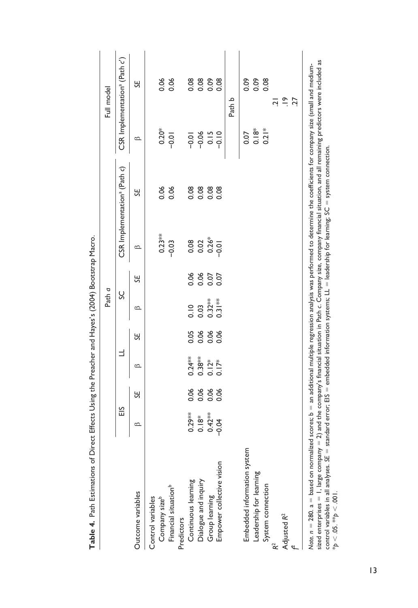|                                                                                                                                                                                                                                                                                                                                                                                    |                         |      |           |      | Path a        |      |           |                                          |                    | Full model                                |
|------------------------------------------------------------------------------------------------------------------------------------------------------------------------------------------------------------------------------------------------------------------------------------------------------------------------------------------------------------------------------------|-------------------------|------|-----------|------|---------------|------|-----------|------------------------------------------|--------------------|-------------------------------------------|
|                                                                                                                                                                                                                                                                                                                                                                                    | ΕIS                     |      | Ε         |      | ပ္တ           |      |           | CSR Implementation <sup>a</sup> (Path c) |                    | CSR Implementation <sup>a</sup> (Path c') |
| Outcome variables                                                                                                                                                                                                                                                                                                                                                                  | $\circ$                 | 5A   | ≏         | 5A   | $\circ$       | К    | $\circ$   | К                                        | ≏                  | 5A                                        |
| Company sizeb<br>Control variables                                                                                                                                                                                                                                                                                                                                                 |                         |      |           |      |               |      | $0.23***$ | 0.06                                     | $0.20*$            | 0.06                                      |
| Financial situation <sup>b</sup>                                                                                                                                                                                                                                                                                                                                                   |                         |      |           |      |               |      | $-0.03$   | 0.06                                     | $-0.01$            | 0.06                                      |
| Continuous learning<br>Predictors                                                                                                                                                                                                                                                                                                                                                  |                         | 0.06 | $0.24***$ | 0.05 | $\frac{0}{0}$ |      |           | 0.08                                     | $-0.01$            | 0.08                                      |
| Dialogue and inquiry                                                                                                                                                                                                                                                                                                                                                               | $0.29**0.18**0.42*0.04$ | 0.06 | $0.38***$ | 0.06 | 0.03          | 0.06 | 0.02      | 0.08                                     | $-0.06$            | 0.08                                      |
| Group learning                                                                                                                                                                                                                                                                                                                                                                     |                         | 0.06 | $0.12*$   | 0.06 | $0.32**$      | 0.07 | $0.26*$   |                                          | 0.15               | 0.09                                      |
| Empower collective vision                                                                                                                                                                                                                                                                                                                                                          |                         | 0.06 | $0.17*$   | 0.06 |               |      | $-0.01$   | 0.08                                     | $-0.10$            | 0.08                                      |
|                                                                                                                                                                                                                                                                                                                                                                                    |                         |      |           |      |               |      |           |                                          |                    | Path b                                    |
| Embedded information system                                                                                                                                                                                                                                                                                                                                                        |                         |      |           |      |               |      |           |                                          | 0.07               | 0.09                                      |
| Leadership for learning                                                                                                                                                                                                                                                                                                                                                            |                         |      |           |      |               |      |           |                                          | $0.18*$            | 0.09                                      |
| System connection                                                                                                                                                                                                                                                                                                                                                                  |                         |      |           |      |               |      |           |                                          | $0.2$ <sup>*</sup> | 0.08                                      |
|                                                                                                                                                                                                                                                                                                                                                                                    |                         |      |           |      |               |      |           |                                          |                    | <u>ات</u>                                 |
| Adjusted R <sup>2</sup>                                                                                                                                                                                                                                                                                                                                                            |                         |      |           |      |               |      |           |                                          |                    | $\frac{6}{1}$                             |
|                                                                                                                                                                                                                                                                                                                                                                                    |                         |      |           |      |               |      |           |                                          |                    | 27                                        |
| sized enterprises $=1$ , large company $=2$ ) and the company's financial situation in Path $c$ . Company size, company financial situation, and all remaining predictors were included as<br>Note. $n = 280$ . $a =$ based on normalized scores; $b =$ an additional multiple regression analysis was performed to determine the coefficients for company size (small and medium- |                         |      |           |      |               |      |           |                                          |                    |                                           |
| control variables in all analyses. SE = standard error; EIS = embedded information systems; LL = leadership for learning; SC = system connection.                                                                                                                                                                                                                                  |                         |      |           |      |               |      |           |                                          |                    |                                           |

Table 4. Path Estimations of Direct Effects Using the Preacher and Hayes's (2004) Bootstrap Macro. **Table 4.** Path Estimations of Direct Effects Using the Preacher and Hayes's (2004) Bootstrap Macro.

13

\**p* < .05. \*\**p* < .001.

\* $p < .05$ . \*\* $p < .001$ .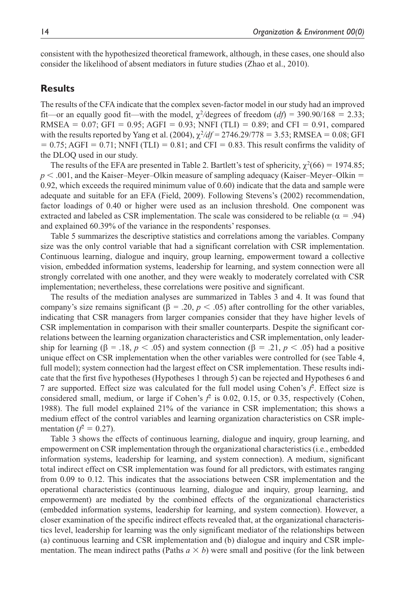consistent with the hypothesized theoretical framework, although, in these cases, one should also consider the likelihood of absent mediators in future studies (Zhao et al., 2010).

## **Results**

The results of the CFA indicate that the complex seven-factor model in our study had an improved fit—or an equally good fit—with the model,  $\chi^2$ /degrees of freedom (*df*) = 390.90/168 = 2.33; RMSEA =  $0.07$ ; GFI =  $0.95$ ; AGFI =  $0.93$ ; NNFI (TLI) =  $0.89$ ; and CFI = 0.91, compared with the results reported by Yang et al.  $(2004)$ ,  $\chi^2/df = 2746.29/778 = 3.53$ ; RMSEA = 0.08; GFI  $= 0.75$ ; AGFI = 0.71; NNFI (TLI) = 0.81; and CFI = 0.83. This result confirms the validity of the DLOQ used in our study.

The results of the EFA are presented in Table 2. Bartlett's test of sphericity,  $\chi^2(66) = 1974.85$ ;  $p < .001$ , and the Kaiser–Meyer–Olkin measure of sampling adequacy (Kaiser–Meyer–Olkin  $=$ 0.92, which exceeds the required minimum value of 0.60) indicate that the data and sample were adequate and suitable for an EFA (Field, 2009). Following Stevens's (2002) recommendation, factor loadings of 0.40 or higher were used as an inclusion threshold. One component was extracted and labeled as CSR implementation. The scale was considered to be reliable ( $\alpha = .94$ ) and explained 60.39% of the variance in the respondents' responses.

Table 5 summarizes the descriptive statistics and correlations among the variables. Company size was the only control variable that had a significant correlation with CSR implementation. Continuous learning, dialogue and inquiry, group learning, empowerment toward a collective vision, embedded information systems, leadership for learning, and system connection were all strongly correlated with one another, and they were weakly to moderately correlated with CSR implementation; nevertheless, these correlations were positive and significant.

The results of the mediation analyses are summarized in Tables 3 and 4. It was found that company's size remains significant (β = .20,  $p$  < .05) after controlling for the other variables, indicating that CSR managers from larger companies consider that they have higher levels of CSR implementation in comparison with their smaller counterparts. Despite the significant correlations between the learning organization characteristics and CSR implementation, only leadership for learning ( $\beta = .18$ ,  $p < .05$ ) and system connection ( $\beta = .21$ ,  $p < .05$ ) had a positive unique effect on CSR implementation when the other variables were controlled for (see Table 4, full model); system connection had the largest effect on CSR implementation. These results indicate that the first five hypotheses (Hypotheses 1 through 5) can be rejected and Hypotheses 6 and 7 are supported. Effect size was calculated for the full model using Cohen's *f* 2 . Effect size is considered small, medium, or large if Cohen's  $f^2$  is 0.02, 0.15, or 0.35, respectively (Cohen, 1988). The full model explained 21% of the variance in CSR implementation; this shows a medium effect of the control variables and learning organization characteristics on CSR implementation  $(f^2 = 0.27)$ .

Table 3 shows the effects of continuous learning, dialogue and inquiry, group learning, and empowerment on CSR implementation through the organizational characteristics (i.e., embedded information systems, leadership for learning, and system connection). A medium, significant total indirect effect on CSR implementation was found for all predictors, with estimates ranging from 0.09 to 0.12. This indicates that the associations between CSR implementation and the operational characteristics (continuous learning, dialogue and inquiry, group learning, and empowerment) are mediated by the combined effects of the organizational characteristics (embedded information systems, leadership for learning, and system connection). However, a closer examination of the specific indirect effects revealed that, at the organizational characteristics level, leadership for learning was the only significant mediator of the relationships between (a) continuous learning and CSR implementation and (b) dialogue and inquiry and CSR implementation. The mean indirect paths (Paths  $a \times b$ ) were small and positive (for the link between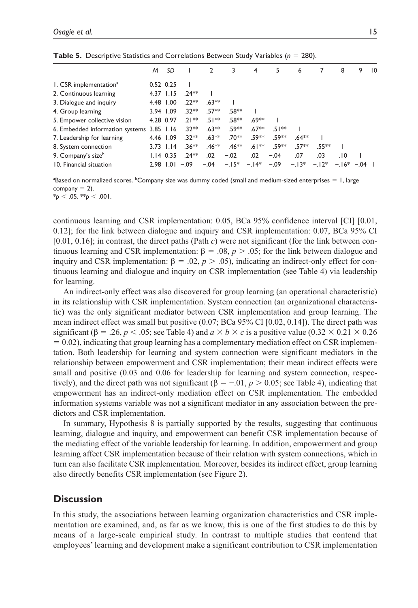|                                           | M | SD            |         | 2       | 3       | 4       | 5      | 6       | 7      | 8          | 9 | $10^{\circ}$ |
|-------------------------------------------|---|---------------|---------|---------|---------|---------|--------|---------|--------|------------|---|--------------|
| I. CSR implementation <sup>a</sup>        |   | $0.52$ $0.25$ |         |         |         |         |        |         |        |            |   |              |
| 2. Continuous learning                    |   | 4.37 1.15     | $.74**$ |         |         |         |        |         |        |            |   |              |
| 3. Dialogue and inquiry                   |   | 4.48 1.00     | $.22**$ | $.63**$ |         |         |        |         |        |            |   |              |
| 4. Group learning                         |   | 3.94 1.09     | $32**$  | $.57**$ | .58**   |         |        |         |        |            |   |              |
| 5. Empower collective vision              |   | 4.28 0.97     | $21**$  | $.51**$ | $.58**$ | $.69**$ |        |         |        |            |   |              |
| 6. Embedded information systems 3.85 1.16 |   |               | $.32**$ | $.63**$ | .59**   | $.67**$ | $51**$ |         |        |            |   |              |
| 7. Leadership for learning                |   | 4.46 1.09     | $.32**$ | $.63**$ | .70**   | .59**   | .59**  | $.64**$ |        |            |   |              |
| 8. System connection                      |   | $3.73$ $1.14$ | $.36**$ | $.46**$ | $.46**$ | $.61**$ | .59**  | $.57**$ | .55**  |            |   |              |
| 9. Company's sizeb                        |   | $1.14$ 0.35   | $.74**$ | .02     | $-.02$  | .02     | $-.04$ | .07     | .03    | .10        |   |              |
| 10. Financial situation                   |   | 2.98 1.01     | $-.09$  | $-.04$  | $-.15*$ | $-14*$  | $-.09$ | $-.13*$ | $-12*$ | $-16* -04$ |   |              |
|                                           |   |               |         |         |         |         |        |         |        |            |   |              |

**Table 5.** Descriptive Statistics and Correlations Between Study Variables (*n* = 280).

 $^{\rm a}$ Based on normalized scores.  $^{\rm b}$ Company size was dummy coded (small and medium-sized enterprises  $=$  1, large company  $= 2$ ).

 $*_{p}$  < .05.  $*_{p}$  < .001.

continuous learning and CSR implementation: 0.05, BCa 95% confidence interval [CI] [0.01, 0.12]; for the link between dialogue and inquiry and CSR implementation: 0.07, BCa 95% CI [0.01, 0.16]; in contrast, the direct paths (Path *c*) were not significant (for the link between continuous learning and CSR implementation:  $β = .08, p > .05$ ; for the link between dialogue and inquiry and CSR implementation:  $β = .02, p > .05$ ), indicating an indirect-only effect for continuous learning and dialogue and inquiry on CSR implementation (see Table 4) via leadership for learning.

An indirect-only effect was also discovered for group learning (an operational characteristic) in its relationship with CSR implementation. System connection (an organizational characteristic) was the only significant mediator between CSR implementation and group learning. The mean indirect effect was small but positive (0.07; BCa 95% CI [0.02, 0.14]). The direct path was significant ( $\beta = 0.26$ ,  $p < 0.05$ ; see Table 4) and  $a \times b \times c$  is a positive value (0.32  $\times$  0.21  $\times$  0.26  $= 0.02$ ), indicating that group learning has a complementary mediation effect on CSR implementation. Both leadership for learning and system connection were significant mediators in the relationship between empowerment and CSR implementation; their mean indirect effects were small and positive  $(0.03 \text{ and } 0.06 \text{ for leadership for learning and system connection, respectively.}$ tively), and the direct path was not significant ( $\beta = -0.01$ ,  $p > 0.05$ ; see Table 4), indicating that empowerment has an indirect-only mediation effect on CSR implementation. The embedded information systems variable was not a significant mediator in any association between the predictors and CSR implementation.

In summary, Hypothesis 8 is partially supported by the results, suggesting that continuous learning, dialogue and inquiry, and empowerment can benefit CSR implementation because of the mediating effect of the variable leadership for learning. In addition, empowerment and group learning affect CSR implementation because of their relation with system connections, which in turn can also facilitate CSR implementation. Moreover, besides its indirect effect, group learning also directly benefits CSR implementation (see Figure 2).

## **Discussion**

In this study, the associations between learning organization characteristics and CSR implementation are examined, and, as far as we know, this is one of the first studies to do this by means of a large-scale empirical study. In contrast to multiple studies that contend that employees' learning and development make a significant contribution to CSR implementation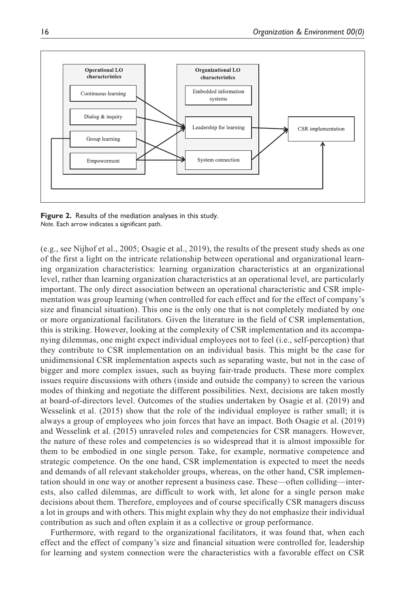

**Figure 2.** Results of the mediation analyses in this study. *Note*. Each arrow indicates a significant path.

(e.g., see Nijhof et al., 2005; Osagie et al., 2019), the results of the present study sheds as one of the first a light on the intricate relationship between operational and organizational learning organization characteristics: learning organization characteristics at an organizational level, rather than learning organization characteristics at an operational level, are particularly important. The only direct association between an operational characteristic and CSR implementation was group learning (when controlled for each effect and for the effect of company's size and financial situation). This one is the only one that is not completely mediated by one or more organizational facilitators. Given the literature in the field of CSR implementation, this is striking. However, looking at the complexity of CSR implementation and its accompanying dilemmas, one might expect individual employees not to feel (i.e., self-perception) that they contribute to CSR implementation on an individual basis. This might be the case for unidimensional CSR implementation aspects such as separating waste, but not in the case of bigger and more complex issues, such as buying fair-trade products. These more complex issues require discussions with others (inside and outside the company) to screen the various modes of thinking and negotiate the different possibilities. Next, decisions are taken mostly at board-of-directors level. Outcomes of the studies undertaken by Osagie et al. (2019) and Wesselink et al. (2015) show that the role of the individual employee is rather small; it is always a group of employees who join forces that have an impact. Both Osagie et al. (2019) and Wesselink et al. (2015) unraveled roles and competencies for CSR managers. However, the nature of these roles and competencies is so widespread that it is almost impossible for them to be embodied in one single person. Take, for example, normative competence and strategic competence. On the one hand, CSR implementation is expected to meet the needs and demands of all relevant stakeholder groups, whereas, on the other hand, CSR implementation should in one way or another represent a business case. These—often colliding—interests, also called dilemmas, are difficult to work with, let alone for a single person make decisions about them. Therefore, employees and of course specifically CSR managers discuss a lot in groups and with others. This might explain why they do not emphasize their individual contribution as such and often explain it as a collective or group performance.

Furthermore, with regard to the organizational facilitators, it was found that, when each effect and the effect of company's size and financial situation were controlled for, leadership for learning and system connection were the characteristics with a favorable effect on CSR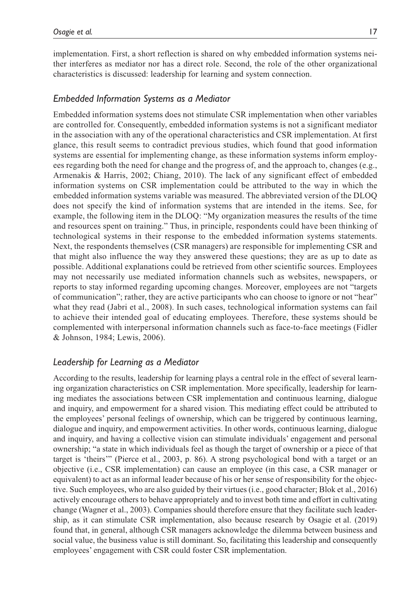implementation. First, a short reflection is shared on why embedded information systems neither interferes as mediator nor has a direct role. Second, the role of the other organizational characteristics is discussed: leadership for learning and system connection.

## *Embedded Information Systems as a Mediator*

Embedded information systems does not stimulate CSR implementation when other variables are controlled for. Consequently, embedded information systems is not a significant mediator in the association with any of the operational characteristics and CSR implementation. At first glance, this result seems to contradict previous studies, which found that good information systems are essential for implementing change, as these information systems inform employees regarding both the need for change and the progress of, and the approach to, changes (e.g., Armenakis & Harris, 2002; Chiang, 2010). The lack of any significant effect of embedded information systems on CSR implementation could be attributed to the way in which the embedded information systems variable was measured. The abbreviated version of the DLOQ does not specify the kind of information systems that are intended in the items. See, for example, the following item in the DLOQ: "My organization measures the results of the time and resources spent on training." Thus, in principle, respondents could have been thinking of technological systems in their response to the embedded information systems statements. Next, the respondents themselves (CSR managers) are responsible for implementing CSR and that might also influence the way they answered these questions; they are as up to date as possible. Additional explanations could be retrieved from other scientific sources. Employees may not necessarily use mediated information channels such as websites, newspapers, or reports to stay informed regarding upcoming changes. Moreover, employees are not "targets of communication"; rather, they are active participants who can choose to ignore or not "hear" what they read (Jabri et al., 2008). In such cases, technological information systems can fail to achieve their intended goal of educating employees. Therefore, these systems should be complemented with interpersonal information channels such as face-to-face meetings (Fidler & Johnson, 1984; Lewis, 2006).

## *Leadership for Learning as a Mediator*

According to the results, leadership for learning plays a central role in the effect of several learning organization characteristics on CSR implementation. More specifically, leadership for learning mediates the associations between CSR implementation and continuous learning, dialogue and inquiry, and empowerment for a shared vision. This mediating effect could be attributed to the employees' personal feelings of ownership, which can be triggered by continuous learning, dialogue and inquiry, and empowerment activities. In other words, continuous learning, dialogue and inquiry, and having a collective vision can stimulate individuals' engagement and personal ownership; "a state in which individuals feel as though the target of ownership or a piece of that target is 'theirs'" (Pierce et al., 2003, p. 86). A strong psychological bond with a target or an objective (i.e., CSR implementation) can cause an employee (in this case, a CSR manager or equivalent) to act as an informal leader because of his or her sense of responsibility for the objective. Such employees, who are also guided by their virtues (i.e., good character; Blok et al., 2016) actively encourage others to behave appropriately and to invest both time and effort in cultivating change (Wagner et al., 2003). Companies should therefore ensure that they facilitate such leadership, as it can stimulate CSR implementation, also because research by Osagie et al. (2019) found that, in general, although CSR managers acknowledge the dilemma between business and social value, the business value is still dominant. So, facilitating this leadership and consequently employees' engagement with CSR could foster CSR implementation.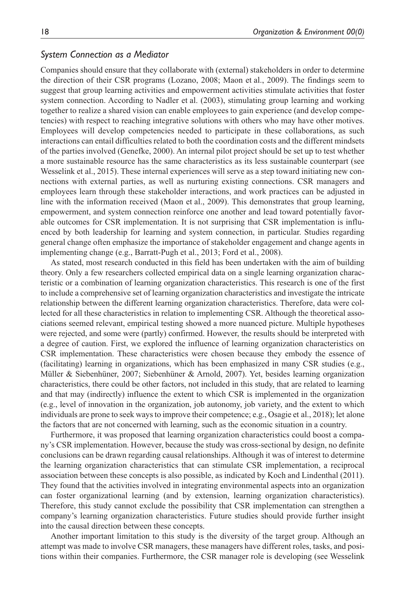#### *System Connection as a Mediator*

Companies should ensure that they collaborate with (external) stakeholders in order to determine the direction of their CSR programs (Lozano, 2008; Maon et al., 2009). The findings seem to suggest that group learning activities and empowerment activities stimulate activities that foster system connection. According to Nadler et al. (2003), stimulating group learning and working together to realize a shared vision can enable employees to gain experience (and develop competencies) with respect to reaching integrative solutions with others who may have other motives. Employees will develop competencies needed to participate in these collaborations, as such interactions can entail difficulties related to both the coordination costs and the different mindsets of the parties involved (Genefke, 2000). An internal pilot project should be set up to test whether a more sustainable resource has the same characteristics as its less sustainable counterpart (see Wesselink et al., 2015). These internal experiences will serve as a step toward initiating new connections with external parties, as well as nurturing existing connections. CSR managers and employees learn through these stakeholder interactions, and work practices can be adjusted in line with the information received (Maon et al., 2009). This demonstrates that group learning, empowerment, and system connection reinforce one another and lead toward potentially favorable outcomes for CSR implementation. It is not surprising that CSR implementation is influenced by both leadership for learning and system connection, in particular. Studies regarding general change often emphasize the importance of stakeholder engagement and change agents in implementing change (e.g., Barratt-Pugh et al., 2013; Ford et al., 2008).

As stated, most research conducted in this field has been undertaken with the aim of building theory. Only a few researchers collected empirical data on a single learning organization characteristic or a combination of learning organization characteristics. This research is one of the first to include a comprehensive set of learning organization characteristics and investigate the intricate relationship between the different learning organization characteristics. Therefore, data were collected for all these characteristics in relation to implementing CSR. Although the theoretical associations seemed relevant, empirical testing showed a more nuanced picture. Multiple hypotheses were rejected, and some were (partly) confirmed. However, the results should be interpreted with a degree of caution. First, we explored the influence of learning organization characteristics on CSR implementation. These characteristics were chosen because they embody the essence of (facilitating) learning in organizations, which has been emphasized in many CSR studies (e.g., Müller & Siebenhüner, 2007; Siebenhüner & Arnold, 2007). Yet, besides learning organization characteristics, there could be other factors, not included in this study, that are related to learning and that may (indirectly) influence the extent to which CSR is implemented in the organization (e.g., level of innovation in the organization, job autonomy, job variety, and the extent to which individuals are prone to seek ways to improve their competence; e.g., Osagie et al., 2018); let alone the factors that are not concerned with learning, such as the economic situation in a country.

Furthermore, it was proposed that learning organization characteristics could boost a company's CSR implementation. However, because the study was cross-sectional by design, no definite conclusions can be drawn regarding causal relationships. Although it was of interest to determine the learning organization characteristics that can stimulate CSR implementation, a reciprocal association between these concepts is also possible, as indicated by Koch and Lindenthal (2011). They found that the activities involved in integrating environmental aspects into an organization can foster organizational learning (and by extension, learning organization characteristics). Therefore, this study cannot exclude the possibility that CSR implementation can strengthen a company's learning organization characteristics. Future studies should provide further insight into the causal direction between these concepts.

Another important limitation to this study is the diversity of the target group. Although an attempt was made to involve CSR managers, these managers have different roles, tasks, and positions within their companies. Furthermore, the CSR manager role is developing (see Wesselink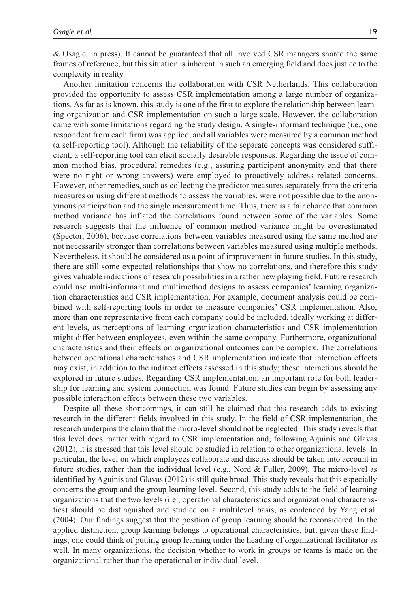& Osagie, in press). It cannot be guaranteed that all involved CSR managers shared the same frames of reference, but this situation is inherent in such an emerging field and does justice to the complexity in reality.

Another limitation concerns the collaboration with CSR Netherlands. This collaboration provided the opportunity to assess CSR implementation among a large number of organizations. As far as is known, this study is one of the first to explore the relationship between learning organization and CSR implementation on such a large scale. However, the collaboration came with some limitations regarding the study design. A single-informant technique (i.e., one respondent from each firm) was applied, and all variables were measured by a common method (a self-reporting tool). Although the reliability of the separate concepts was considered sufficient, a self-reporting tool can elicit socially desirable responses. Regarding the issue of common method bias, procedural remedies (e.g., assuring participant anonymity and that there were no right or wrong answers) were employed to proactively address related concerns. However, other remedies, such as collecting the predictor measures separately from the criteria measures or using different methods to assess the variables, were not possible due to the anonymous participation and the single measurement time. Thus, there is a fair chance that common method variance has inflated the correlations found between some of the variables. Some research suggests that the influence of common method variance might be overestimated (Spector, 2006), because correlations between variables measured using the same method are not necessarily stronger than correlations between variables measured using multiple methods. Nevertheless, it should be considered as a point of improvement in future studies. In this study, there are still some expected relationships that show no correlations, and therefore this study gives valuable indications of research possibilities in a rather new playing field. Future research could use multi-informant and multimethod designs to assess companies' learning organization characteristics and CSR implementation. For example, document analysis could be combined with self-reporting tools in order to measure companies' CSR implementation. Also, more than one representative from each company could be included, ideally working at different levels, as perceptions of learning organization characteristics and CSR implementation might differ between employees, even within the same company. Furthermore, organizational characteristics and their effects on organizational outcomes can be complex. The correlations between operational characteristics and CSR implementation indicate that interaction effects may exist, in addition to the indirect effects assessed in this study; these interactions should be explored in future studies. Regarding CSR implementation, an important role for both leadership for learning and system connection was found. Future studies can begin by assessing any possible interaction effects between these two variables.

Despite all these shortcomings, it can still be claimed that this research adds to existing research in the different fields involved in this study. In the field of CSR implementation, the research underpins the claim that the micro-level should not be neglected. This study reveals that this level does matter with regard to CSR implementation and, following Aguinis and Glavas (2012), it is stressed that this level should be studied in relation to other organizational levels. In particular, the level on which employees collaborate and discuss should be taken into account in future studies, rather than the individual level (e.g., Nord & Fuller, 2009). The micro-level as identified by Aguinis and Glavas (2012) is still quite broad. This study reveals that this especially concerns the group and the group learning level. Second, this study adds to the field of learning organizations that the two levels (i.e., operational characteristics and organizational characteristics) should be distinguished and studied on a multilevel basis, as contended by Yang et al. (2004). Our findings suggest that the position of group learning should be reconsidered. In the applied distinction, group learning belongs to operational characteristics, but, given these findings, one could think of putting group learning under the heading of organizational facilitator as well. In many organizations, the decision whether to work in groups or teams is made on the organizational rather than the operational or individual level.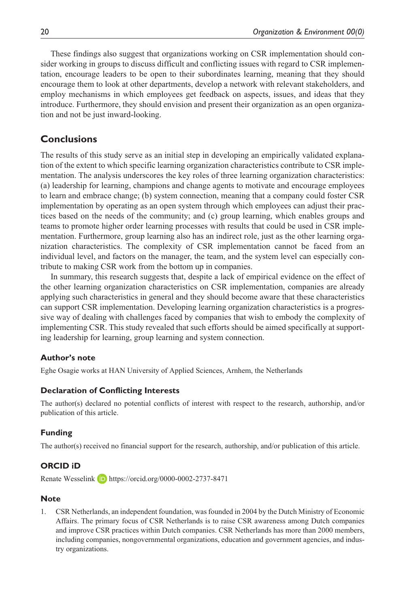These findings also suggest that organizations working on CSR implementation should consider working in groups to discuss difficult and conflicting issues with regard to CSR implementation, encourage leaders to be open to their subordinates learning, meaning that they should encourage them to look at other departments, develop a network with relevant stakeholders, and employ mechanisms in which employees get feedback on aspects, issues, and ideas that they introduce. Furthermore, they should envision and present their organization as an open organization and not be just inward-looking.

# **Conclusions**

The results of this study serve as an initial step in developing an empirically validated explanation of the extent to which specific learning organization characteristics contribute to CSR implementation. The analysis underscores the key roles of three learning organization characteristics: (a) leadership for learning, champions and change agents to motivate and encourage employees to learn and embrace change; (b) system connection, meaning that a company could foster CSR implementation by operating as an open system through which employees can adjust their practices based on the needs of the community; and (c) group learning, which enables groups and teams to promote higher order learning processes with results that could be used in CSR implementation. Furthermore, group learning also has an indirect role, just as the other learning organization characteristics. The complexity of CSR implementation cannot be faced from an individual level, and factors on the manager, the team, and the system level can especially contribute to making CSR work from the bottom up in companies.

In summary, this research suggests that, despite a lack of empirical evidence on the effect of the other learning organization characteristics on CSR implementation, companies are already applying such characteristics in general and they should become aware that these characteristics can support CSR implementation. Developing learning organization characteristics is a progressive way of dealing with challenges faced by companies that wish to embody the complexity of implementing CSR. This study revealed that such efforts should be aimed specifically at supporting leadership for learning, group learning and system connection.

### **Author's note**

Eghe Osagie works at HAN University of Applied Sciences, Arnhem, the Netherlands

### **Declaration of Conflicting Interests**

The author(s) declared no potential conflicts of interest with respect to the research, authorship, and/or publication of this article.

### **Funding**

The author(s) received no financial support for the research, authorship, and/or publication of this article.

### **ORCID iD**

Renate Wesselink **D** <https://orcid.org/0000-0002-2737-8471>

#### **Note**

1. CSR Netherlands, an independent foundation, was founded in 2004 by the Dutch Ministry of Economic Affairs. The primary focus of CSR Netherlands is to raise CSR awareness among Dutch companies and improve CSR practices within Dutch companies. CSR Netherlands has more than 2000 members, including companies, nongovernmental organizations, education and government agencies, and industry organizations.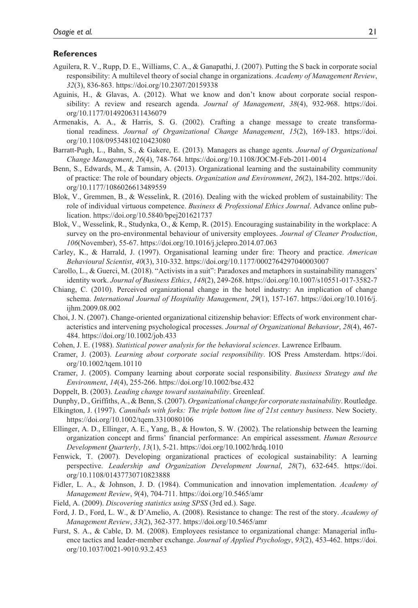#### **References**

- Aguilera, R. V., Rupp, D. E., Williams, C. A., & Ganapathi, J. (2007). Putting the S back in corporate social responsibility: A multilevel theory of social change in organizations. *Academy of Management Review*, *32*(3), 836-863.<https://doi.org/10.2307/20159338>
- Aguinis, H., & Glavas, A. (2012). What we know and don't know about corporate social responsibility: A review and research agenda. *Journal of Management*, *38*(4), 932-968. [https://doi.](https://doi.org/10.1177/0149206311436079) [org/10.1177/0149206311436079](https://doi.org/10.1177/0149206311436079)
- Armenakis, A. A., & Harris, S. G. (2002). Crafting a change message to create transformational readiness. *Journal of Organizational Change Management*, *15*(2), 169-183. [https://doi.](https://doi.org/10.1108/09534810210423080) [org/10.1108/09534810210423080](https://doi.org/10.1108/09534810210423080)
- Barratt-Pugh, L., Bahn, S., & Gakere, E. (2013). Managers as change agents. *Journal of Organizational Change Management*, *26*(4), 748-764.<https://doi.org/10.1108/JOCM-Feb-2011-0014>
- Benn, S., Edwards, M., & Tamsin, A. (2013). Organizational learning and the sustainability community of practice: The role of boundary objects. *Organization and Environment*, *26*(2), 184-202. [https://doi.](https://doi.org/10.1177/1086026613489559) [org/10.1177/1086026613489559](https://doi.org/10.1177/1086026613489559)
- Blok, V., Gremmen, B., & Wesselink, R. (2016). Dealing with the wicked problem of sustainability: The role of individual virtuous competence. *Business & Professional Ethics Journal*. Advance online publication.<https://doi.org/10.5840/bpej201621737>
- Blok, V., Wesselink, R., Studynka, O., & Kemp, R. (2015). Encouraging sustainability in the workplace: A survey on the pro-environmental behaviour of university employees. *Journal of Cleaner Production*, *106*(November), 55-67.<https://doi.org/10.1016/j.jclepro.2014.07.063>
- Carley, K., & Harrald, J. (1997). Organisational learning under fire: Theory and practice. *American Behavioural Scientist*, *40*(3), 310-332.<https://doi.org/10.1177/0002764297040003007>
- Carollo, L., & Guerci, M. (2018). "Activists in a suit": Paradoxes and metaphors in sustainability managers' identity work. *Journal of Business Ethics*, *148*(2), 249-268.<https://doi.org/10.1007/s10551-017-3582-7>
- Chiang, C. (2010). Perceived organizational change in the hotel industry: An implication of change schema. *International Journal of Hospitality Management*, *29*(1), 157-167. [https://doi.org/10.1016/j.](https://doi.org/10.1016/j.ijhm.2009.08.002) [ijhm.2009.08.002](https://doi.org/10.1016/j.ijhm.2009.08.002)
- Choi, J. N. (2007). Change-oriented organizational citizenship behavior: Effects of work environment characteristics and intervening psychological processes. *Journal of Organizational Behaviour*, *28*(4), 467- 484.<https://doi.org/10.1002/job.433>
- Cohen, J. E. (1988). *Statistical power analysis for the behavioral sciences*. Lawrence Erlbaum.
- Cramer, J. (2003). *Learning about corporate social responsibility*. IOS Press Amsterdam. [https://doi.](https://doi.org/10.1002/tqem.10110) [org/10.1002/tqem.10110](https://doi.org/10.1002/tqem.10110)
- Cramer, J. (2005). Company learning about corporate social responsibility. *Business Strategy and the Environment*, *14*(4), 255-266.<https://doi.org/10.1002/bse.432>
- Doppelt, B. (2003). *Leading change toward sustainability*. Greenleaf.
- Dunphy, D., Griffiths, A., & Benn, S. (2007). *Organizational change for corporate sustainability*. Routledge.
- Elkington, J. (1997). *Cannibals with forks: The triple bottom line of 21st century business*. New Society. <https://doi.org/10.1002/tqem.3310080106>
- Ellinger, A. D., Ellinger, A. E., Yang, B., & Howton, S. W. (2002). The relationship between the learning organization concept and firms' financial performance: An empirical assessment. *Human Resource Development Quarterly*, *13*(1), 5-21. <https://doi.org/10.1002/hrdq.1010>
- Fenwick, T. (2007). Developing organizational practices of ecological sustainability: A learning perspective. *Leadership and Organization Development Journal*, *28*(7), 632-645. [https://doi.](https://doi.org/10.1108/01437730710823888) [org/10.1108/01437730710823888](https://doi.org/10.1108/01437730710823888)
- Fidler, L. A., & Johnson, J. D. (1984). Communication and innovation implementation. *Academy of Management Review*, *9*(4), 704-711. <https://doi.org/10.5465/amr>
- Field, A. (2009). *Discovering statistics using SPSS* (3rd ed.). Sage.
- Ford, J. D., Ford, L. W., & D'Amelio, A. (2008). Resistance to change: The rest of the story. *Academy of Management Review*, *33*(2), 362-377.<https://doi.org/10.5465/amr>
- Furst, S. A., & Cable, D. M. (2008). Employees resistance to organizational change: Managerial influence tactics and leader-member exchange. *Journal of Applied Psychology*, *93*(2), 453-462. [https://doi.](https://doi.org/10.1037/0021-9010.93.2.453) [org/10.1037/0021-9010.93.2.453](https://doi.org/10.1037/0021-9010.93.2.453)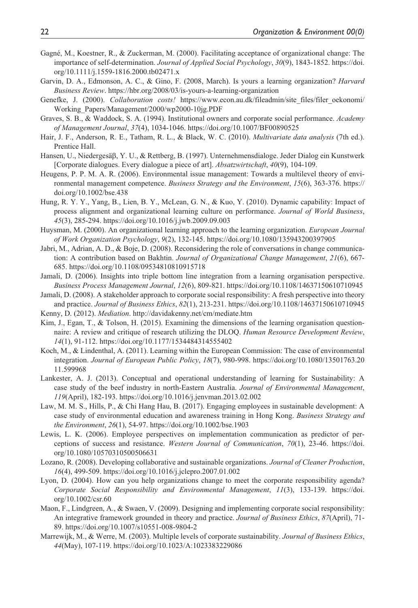- Gagné, M., Koestner, R., & Zuckerman, M. (2000). Facilitating acceptance of organizational change: The importance of self-determination. *Journal of Applied Social Psychology*, *30*(9), 1843-1852. [https://doi.](https://doi.org/10.1111/j.1559-1816.2000.tb02471.x) [org/10.1111/j.1559-1816.2000.tb02471.x](https://doi.org/10.1111/j.1559-1816.2000.tb02471.x)
- Garvin, D. A., Edmonson, A. C., & Gino, F. (2008, March). Is yours a learning organization? *Harvard Business Review*.<https://hbr.org/2008/03/is-yours-a-learning-organization>
- Genefke, J. (2000). *Collaboration costs!* [https://www.econ.au.dk/fileadmin/site\\_files/filer\\_oekonomi/](https://www.econ.au.dk/fileadmin/site_files/filer_oekonomi/Working_Papers/Management/2000/wp2000-10jg.PDF) [Working\\_Papers/Management/2000/wp2000-10jg.PDF](https://www.econ.au.dk/fileadmin/site_files/filer_oekonomi/Working_Papers/Management/2000/wp2000-10jg.PDF)
- Graves, S. B., & Waddock, S. A. (1994). Institutional owners and corporate social performance. *Academy of Management Journal*, *37*(4), 1034-1046.<https://doi.org/10.1007/BF00890525>
- Hair, J. F., Anderson, R. E., Tatham, R. L., & Black, W. C. (2010). *Multivariate data analysis* (7th ed.). Prentice Hall.
- Hansen, U., Niedergesäβ, Y. U., & Rettberg, B. (1997). Unternehmensdialoge. Jeder Dialog ein Kunstwerk [Corporate dialogues. Every dialogue a piece of art]. *Absatzwirtschaft*, *40*(9), 104-109.
- Heugens, P. P. M. A. R. (2006). Environmental issue management: Towards a multilevel theory of environmental management competence. *Business Strategy and the Environment*, *15*(6), 363-376. [https://](https://doi.org/10.1002/bse.438) [doi.org/10.1002/bse.438](https://doi.org/10.1002/bse.438)
- Hung, R. Y. Y., Yang, B., Lien, B. Y., McLean, G. N., & Kuo, Y. (2010). Dynamic capability: Impact of process alignment and organizational learning culture on performance. *Journal of World Business*, *45*(3), 285-294.<https://doi.org/10.1016/j.jwb.2009.09.003>
- Huysman, M. (2000). An organizational learning approach to the learning organization. *European Journal of Work Organization Psychology*, *9*(2), 132-145.<https://doi.org/10.1080/135943200397905>
- Jabri, M., Adrian, A. D., & Boje, D. (2008). Reconsidering the role of conversations in change communication: A contribution based on Bakhtin. *Journal of Organizational Change Management*, *21*(6), 667- 685.<https://doi.org/10.1108/09534810810915718>
- Jamali, D. (2006). Insights into triple bottom line integration from a learning organisation perspective. *Business Process Management Journal*, *12*(6), 809-821. <https://doi.org/10.1108/14637150610710945>
- Jamali, D. (2008). A stakeholder approach to corporate social responsibility: A fresh perspective into theory and practice. *Journal of Business Ethics*, *82*(1), 213-231.<https://doi.org/10.1108/14637150610710945>
- Kenny, D. (2012). *Mediation*.<http://davidakenny.net/cm/mediate.htm>
- Kim, J., Egan, T., & Tolson, H. (2015). Examining the dimensions of the learning organisation questionnaire: A review and critique of research utilizing the DLOQ. *Human Resource Development Review*, *14*(1), 91-112. <https://doi.org/10.1177/1534484314555402>
- Koch, M., & Lindenthal, A. (2011). Learning within the European Commission: The case of environmental integration. *Journal of European Public Policy*, *18*(7), 980-998. [https://doi.org/10.1080/13501763.20](https://doi.org/10.1080/13501763.2011.599968) [11.599968](https://doi.org/10.1080/13501763.2011.599968)
- Lankester, A. J. (2013). Conceptual and operational understanding of learning for Sustainability: A case study of the beef industry in north-Eastern Australia. *Journal of Environmental Management*, *119*(April), 182-193.<https://doi.org/10.1016/j.jenvman.2013.02.002>
- Law, M. M. S., Hills, P., & Chi Hang Hau, B. (2017). Engaging employees in sustainable development: A case study of environmental education and awareness training in Hong Kong. *Business Strategy and the Environment*, *26*(1), 54-97. <https://doi.org/10.1002/bse.1903>
- Lewis, L. K. (2006). Employee perspectives on implementation communication as predictor of perceptions of success and resistance. *Western Journal of Communication*, *70*(1), 23-46. [https://doi.](https://doi.org/10.1080/10570310500506631) [org/10.1080/10570310500506631](https://doi.org/10.1080/10570310500506631)
- Lozano, R. (2008). Developing collaborative and sustainable organizations. *Journal of Cleaner Production*, *16*(4), 499-509.<https://doi.org/10.1016/j.jclepro.2007.01.002>
- Lyon, D. (2004). How can you help organizations change to meet the corporate responsibility agenda? *Corporate Social Responsibility and Environmental Management*, *11*(3), 133-139. [https://doi.](https://doi.org/10.1002/csr.60) [org/10.1002/csr.60](https://doi.org/10.1002/csr.60)
- Maon, F., Lindgreen, A., & Swaen, V. (2009). Designing and implementing corporate social responsibility: An integrative framework grounded in theory and practice. *Journal of Business Ethics*, *87*(April), 71- 89. <https://doi.org/10.1007/s10551-008-9804-2>
- Marrewijk, M., & Werre, M. (2003). Multiple levels of corporate sustainability. *Journal of Business Ethics*, *44*(May), 107-119.<https://doi.org/10.1023/A:1023383229086>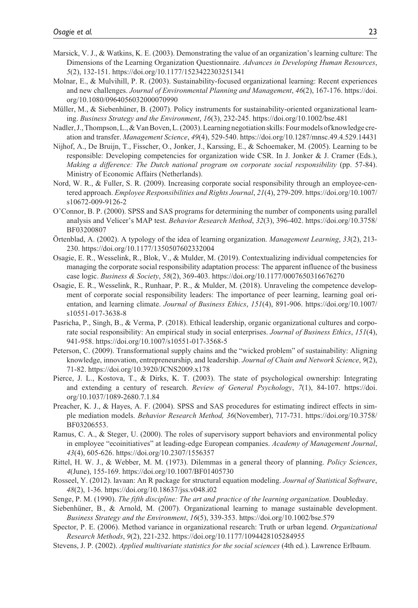- Marsick, V. J., & Watkins, K. E. (2003). Demonstrating the value of an organization's learning culture: The Dimensions of the Learning Organization Questionnaire. *Advances in Developing Human Resources*, *5*(2), 132-151. <https://doi.org/10.1177/1523422303251341>
- Molnar, E., & Mulvihill, P. R. (2003). Sustainability-focused organizational learning: Recent experiences and new challenges. *Journal of Environmental Planning and Management*, *46*(2), 167-176. [https://doi.](https://doi.org/10.1080/0964056032000070990) [org/10.1080/0964056032000070990](https://doi.org/10.1080/0964056032000070990)
- Müller, M., & Siebenhüner, B. (2007). Policy instruments for sustainability-oriented organizational learning. *Business Strategy and the Environment*, *16*(3), 232-245.<https://doi.org/10.1002/bse.481>
- Nadler, J., Thompson, L., & Van Boven, L. (2003). Learning negotiation skills: Four models of knowledge creation and transfer. *Management Science*, *49*(4), 529-540.<https://doi.org/10.1287/mnsc.49.4.529.14431>
- Nijhof, A., De Bruijn, T., Fisscher, O., Jonker, J., Karssing, E., & Schoemaker, M. (2005). Learning to be responsible: Developing competencies for organization wide CSR. In J. Jonker & J. Cramer (Eds.), *Making a difference: The Dutch national program on corporate social responsibility* (pp. 57-84). Ministry of Economic Affairs (Netherlands).
- Nord, W. R., & Fuller, S. R. (2009). Increasing corporate social responsibility through an employee-centered approach. *Employee Responsibilities and Rights Journal*, *21*(4), 279-209. [https://doi.org/10.1007/](https://doi.org/10.1007/s10672-009-9126-2) [s10672-009-9126-2](https://doi.org/10.1007/s10672-009-9126-2)
- O'Connor, B. P. (2000). SPSS and SAS programs for determining the number of components using parallel analysis and Velicer's MAP test. *Behavior Research Method*, *32*(3), 396-402. [https://doi.org/10.3758/](https://doi.org/10.3758/BF03200807) [BF03200807](https://doi.org/10.3758/BF03200807)
- Örtenblad, A. (2002). A typology of the idea of learning organization. *Management Learning*, *33*(2), 213- 230. <https://doi.org/10.1177/1350507602332004>
- Osagie, E. R., Wesselink, R., Blok, V., & Mulder, M. (2019). Contextualizing individual competencies for managing the corporate social responsibility adaptation process: The apparent influence of the business case logic. *Business & Society*, *58*(2), 369-403.<https://doi.org/10.1177/0007650316676270>
- Osagie, E. R., Wesselink, R., Runhaar, P. R., & Mulder, M. (2018). Unraveling the competence development of corporate social responsibility leaders: The importance of peer learning, learning goal orientation, and learning climate. *Journal of Business Ethics*, *151*(4), 891-906. [https://doi.org/10.1007/](https://doi.org/10.1007/s10551-017-3638-8) [s10551-017-3638-8](https://doi.org/10.1007/s10551-017-3638-8)
- Pasricha, P., Singh, B., & Verma, P. (2018). Ethical leadership, organic organizational cultures and corporate social responsibility: An empirical study in social enterprises. *Journal of Business Ethics*, *151*(4), 941-958.<https://doi.org/10.1007/s10551-017-3568-5>
- Peterson, C. (2009). Transformational supply chains and the "wicked problem" of sustainability: Aligning knowledge, innovation, entrepreneurship, and leadership. *Journal of Chain and Network Science*, *9*(2), 71-82.<https://doi.org/10.3920/JCNS2009.x178>
- Pierce, J. L., Kostova, T., & Dirks, K. T. (2003). The state of psychological ownership: Integrating and extending a century of research. *Review of General Psychology*, *7*(1), 84-107. [https://doi.](https://doi.org/10.1037/1089-2680.7.1.84) [org/10.1037/1089-2680.7.1.84](https://doi.org/10.1037/1089-2680.7.1.84)
- Preacher, K. J., & Hayes, A. F. (2004). SPSS and SAS procedures for estimating indirect effects in simple mediation models. *Behavior Research Method, 36*(November), 717-731. [https://doi.org/10.3758/](https://doi.org/10.3758/BF03206553) [BF03206553.](https://doi.org/10.3758/BF03206553)
- Ramus, C. A., & Steger, U. (2000). The roles of supervisory support behaviors and environmental policy in employee "ecoinitiatives" at leading-edge European companies. *Academy of Management Journal*, *43*(4), 605-626.<https://doi.org/10.2307/1556357>
- Rittel, H. W. J., & Webber, M. M. (1973). Dilemmas in a general theory of planning. *Policy Sciences*, *4*(June), 155-169. <https://doi.org/10.1007/BF01405730>
- Rosseel, Y. (2012). lavaan: An R package for structural equation modeling. *Journal of Statistical Software*, *48*(2), 1-36. <https://doi.org/10.18637/jss.v048.i02>
- Senge, P. M. (1990). *The fifth discipline: The art and practice of the learning organization*. Doubleday.
- Siebenhüner, B., & Arnold, M. (2007). Organizational learning to manage sustainable development. *Business Strategy and the Environment*, *16*(5), 339-353.<https://doi.org/10.1002/bse.579>
- Spector, P. E. (2006). Method variance in organizational research: Truth or urban legend. *Organizational Research Methods*, *9*(2), 221-232.<https://doi.org/10.1177/1094428105284955>
- Stevens, J. P. (2002). *Applied multivariate statistics for the social sciences* (4th ed.). Lawrence Erlbaum.